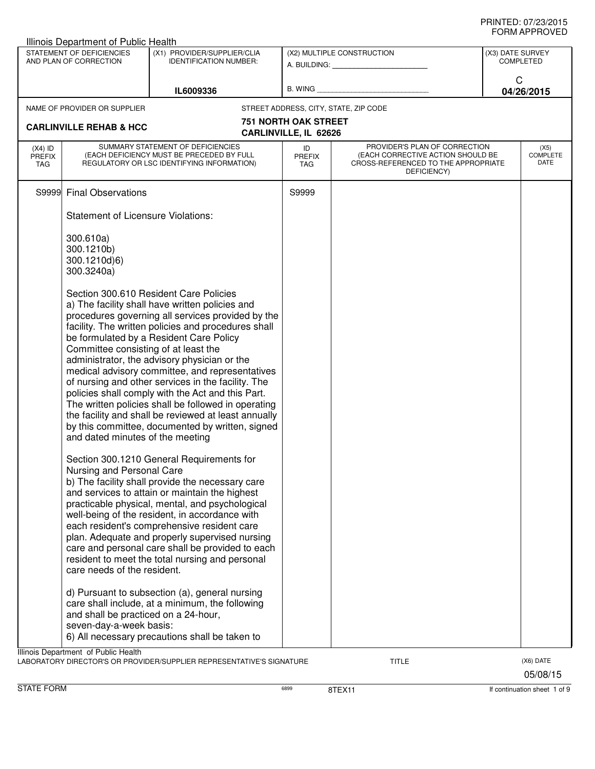| Illinois Department of Public Health |                                                                          |                                                                                                                                                                                                                                                                                                                                                                                                                                                                                                                                                                                                                                   |                                                      |                                                                                                                          |                  |                                 |  |
|--------------------------------------|--------------------------------------------------------------------------|-----------------------------------------------------------------------------------------------------------------------------------------------------------------------------------------------------------------------------------------------------------------------------------------------------------------------------------------------------------------------------------------------------------------------------------------------------------------------------------------------------------------------------------------------------------------------------------------------------------------------------------|------------------------------------------------------|--------------------------------------------------------------------------------------------------------------------------|------------------|---------------------------------|--|
|                                      | STATEMENT OF DEFICIENCIES<br>AND PLAN OF CORRECTION                      | (X1) PROVIDER/SUPPLIER/CLIA<br><b>IDENTIFICATION NUMBER:</b>                                                                                                                                                                                                                                                                                                                                                                                                                                                                                                                                                                      |                                                      | (X2) MULTIPLE CONSTRUCTION                                                                                               | (X3) DATE SURVEY | <b>COMPLETED</b>                |  |
|                                      |                                                                          | IL6009336                                                                                                                                                                                                                                                                                                                                                                                                                                                                                                                                                                                                                         | B. WING $\_$                                         |                                                                                                                          | C                | 04/26/2015                      |  |
|                                      | NAME OF PROVIDER OR SUPPLIER                                             |                                                                                                                                                                                                                                                                                                                                                                                                                                                                                                                                                                                                                                   |                                                      | STREET ADDRESS, CITY, STATE, ZIP CODE                                                                                    |                  |                                 |  |
|                                      | <b>CARLINVILLE REHAB &amp; HCC</b>                                       |                                                                                                                                                                                                                                                                                                                                                                                                                                                                                                                                                                                                                                   | <b>751 NORTH OAK STREET</b><br>CARLINVILLE, IL 62626 |                                                                                                                          |                  |                                 |  |
| $(X4)$ ID<br><b>PREFIX</b><br>TAG    |                                                                          | SUMMARY STATEMENT OF DEFICIENCIES<br>(EACH DEFICIENCY MUST BE PRECEDED BY FULL<br>REGULATORY OR LSC IDENTIFYING INFORMATION)                                                                                                                                                                                                                                                                                                                                                                                                                                                                                                      | ID<br><b>PREFIX</b><br><b>TAG</b>                    | PROVIDER'S PLAN OF CORRECTION<br>(EACH CORRECTIVE ACTION SHOULD BE<br>CROSS-REFERENCED TO THE APPROPRIATE<br>DEFICIENCY) |                  | (X5)<br><b>COMPLETE</b><br>DATE |  |
|                                      | S9999 Final Observations                                                 |                                                                                                                                                                                                                                                                                                                                                                                                                                                                                                                                                                                                                                   | S9999                                                |                                                                                                                          |                  |                                 |  |
|                                      | <b>Statement of Licensure Violations:</b>                                |                                                                                                                                                                                                                                                                                                                                                                                                                                                                                                                                                                                                                                   |                                                      |                                                                                                                          |                  |                                 |  |
|                                      | 300.610a)<br>300.1210b)<br>300.1210d)6)<br>300.3240a)                    |                                                                                                                                                                                                                                                                                                                                                                                                                                                                                                                                                                                                                                   |                                                      |                                                                                                                          |                  |                                 |  |
|                                      | Committee consisting of at least the<br>and dated minutes of the meeting | Section 300.610 Resident Care Policies<br>a) The facility shall have written policies and<br>procedures governing all services provided by the<br>facility. The written policies and procedures shall<br>be formulated by a Resident Care Policy<br>administrator, the advisory physician or the<br>medical advisory committee, and representatives<br>of nursing and other services in the facility. The<br>policies shall comply with the Act and this Part.<br>The written policies shall be followed in operating<br>the facility and shall be reviewed at least annually<br>by this committee, documented by written, signed |                                                      |                                                                                                                          |                  |                                 |  |
|                                      | Nursing and Personal Care<br>care needs of the resident.                 | Section 300.1210 General Requirements for<br>b) The facility shall provide the necessary care<br>and services to attain or maintain the highest<br>practicable physical, mental, and psychological<br>well-being of the resident, in accordance with<br>each resident's comprehensive resident care<br>plan. Adequate and properly supervised nursing<br>care and personal care shall be provided to each<br>resident to meet the total nursing and personal                                                                                                                                                                      |                                                      |                                                                                                                          |                  |                                 |  |
|                                      | and shall be practiced on a 24-hour,<br>seven-day-a-week basis:          | d) Pursuant to subsection (a), general nursing<br>care shall include, at a minimum, the following<br>6) All necessary precautions shall be taken to                                                                                                                                                                                                                                                                                                                                                                                                                                                                               |                                                      |                                                                                                                          |                  |                                 |  |
|                                      | Illinois Department of Public Health                                     | LABORATORY DIRECTOR'S OR PROVIDER/SUPPLIER REPRESENTATIVE'S SIGNATURE                                                                                                                                                                                                                                                                                                                                                                                                                                                                                                                                                             |                                                      | <b>TITLE</b>                                                                                                             |                  | (X6) DATE<br>05/08/15           |  |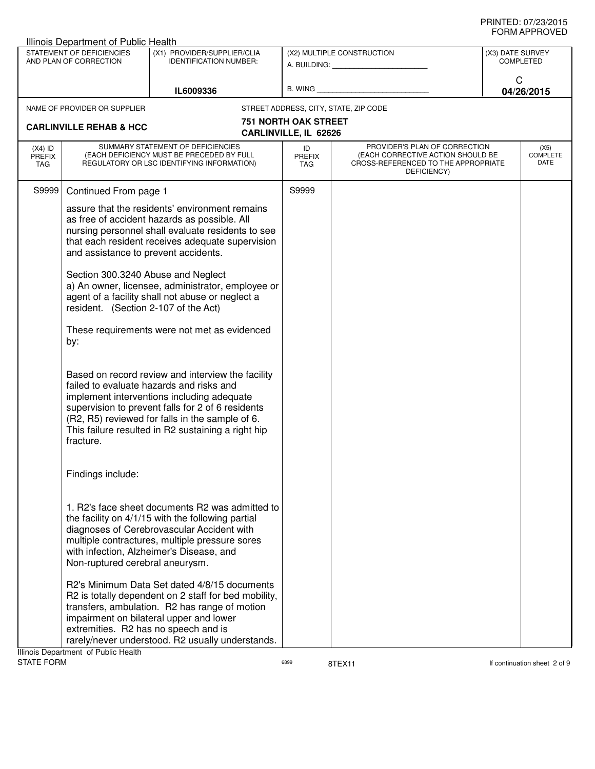|                                   | Illinois Department of Public Health                                                                                      |                                                                                                                                                                                                                                                                                                                                                                                                                       |                                                      |                                                                                                                          |                               |                                 |
|-----------------------------------|---------------------------------------------------------------------------------------------------------------------------|-----------------------------------------------------------------------------------------------------------------------------------------------------------------------------------------------------------------------------------------------------------------------------------------------------------------------------------------------------------------------------------------------------------------------|------------------------------------------------------|--------------------------------------------------------------------------------------------------------------------------|-------------------------------|---------------------------------|
|                                   | STATEMENT OF DEFICIENCIES<br>AND PLAN OF CORRECTION                                                                       | (X1) PROVIDER/SUPPLIER/CLIA<br><b>IDENTIFICATION NUMBER:</b>                                                                                                                                                                                                                                                                                                                                                          |                                                      | (X2) MULTIPLE CONSTRUCTION<br>A. BUILDING: A. BUILDING:                                                                  | (X3) DATE SURVEY<br>COMPLETED |                                 |
|                                   |                                                                                                                           | IL6009336                                                                                                                                                                                                                                                                                                                                                                                                             | B. WING                                              |                                                                                                                          | C                             | 04/26/2015                      |
|                                   | NAME OF PROVIDER OR SUPPLIER                                                                                              |                                                                                                                                                                                                                                                                                                                                                                                                                       |                                                      | STREET ADDRESS, CITY, STATE, ZIP CODE                                                                                    |                               |                                 |
|                                   | <b>CARLINVILLE REHAB &amp; HCC</b>                                                                                        |                                                                                                                                                                                                                                                                                                                                                                                                                       | <b>751 NORTH OAK STREET</b><br>CARLINVILLE, IL 62626 |                                                                                                                          |                               |                                 |
| $(X4)$ ID<br><b>PREFIX</b><br>TAG |                                                                                                                           | SUMMARY STATEMENT OF DEFICIENCIES<br>(EACH DEFICIENCY MUST BE PRECEDED BY FULL<br>REGULATORY OR LSC IDENTIFYING INFORMATION)                                                                                                                                                                                                                                                                                          | ID<br><b>PREFIX</b><br><b>TAG</b>                    | PROVIDER'S PLAN OF CORRECTION<br>(EACH CORRECTIVE ACTION SHOULD BE<br>CROSS-REFERENCED TO THE APPROPRIATE<br>DEFICIENCY) |                               | (X5)<br><b>COMPLETE</b><br>DATE |
| S9999                             | Continued From page 1                                                                                                     |                                                                                                                                                                                                                                                                                                                                                                                                                       | S9999                                                |                                                                                                                          |                               |                                 |
|                                   | and assistance to prevent accidents.<br>Section 300.3240 Abuse and Neglect<br>resident. (Section 2-107 of the Act)<br>by: | assure that the residents' environment remains<br>as free of accident hazards as possible. All<br>nursing personnel shall evaluate residents to see<br>that each resident receives adequate supervision<br>a) An owner, licensee, administrator, employee or<br>agent of a facility shall not abuse or neglect a<br>These requirements were not met as evidenced<br>Based on record review and interview the facility |                                                      |                                                                                                                          |                               |                                 |
|                                   | fracture.                                                                                                                 | failed to evaluate hazards and risks and<br>implement interventions including adequate<br>supervision to prevent falls for 2 of 6 residents<br>(R2, R5) reviewed for falls in the sample of 6.<br>This failure resulted in R2 sustaining a right hip                                                                                                                                                                  |                                                      |                                                                                                                          |                               |                                 |
|                                   | Findings include:                                                                                                         |                                                                                                                                                                                                                                                                                                                                                                                                                       |                                                      |                                                                                                                          |                               |                                 |
|                                   | Non-ruptured cerebral aneurysm.                                                                                           | 1. R2's face sheet documents R2 was admitted to<br>the facility on 4/1/15 with the following partial<br>diagnoses of Cerebrovascular Accident with<br>multiple contractures, multiple pressure sores<br>with infection, Alzheimer's Disease, and                                                                                                                                                                      |                                                      |                                                                                                                          |                               |                                 |
|                                   | extremities. R2 has no speech and is<br>Ilinois Department of Public Health                                               | R2's Minimum Data Set dated 4/8/15 documents<br>R2 is totally dependent on 2 staff for bed mobility,<br>transfers, ambulation. R2 has range of motion<br>impairment on bilateral upper and lower<br>rarely/never understood. R2 usually understands.                                                                                                                                                                  |                                                      |                                                                                                                          |                               |                                 |

Illinois Department of Public Health<br>STATE FORM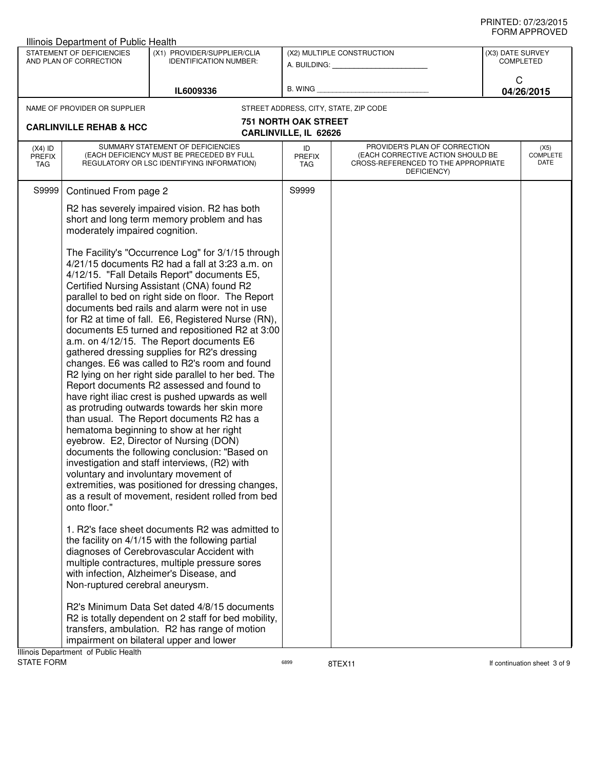|                                   | <b>Illinois Department of Public Health</b>                                                                                                                                                                                                                                                                                                                                                                                                                                                                                                                                                                                                                                                                                                                                                                                                                                                                                                                                                                                                                                                                                                                                                                                                                                                                                                                                                                                                                                                                                                                                                                                                                                                                        |                                                                                                                              |                                                      |                                                                                                                          |                                      |            |  |
|-----------------------------------|--------------------------------------------------------------------------------------------------------------------------------------------------------------------------------------------------------------------------------------------------------------------------------------------------------------------------------------------------------------------------------------------------------------------------------------------------------------------------------------------------------------------------------------------------------------------------------------------------------------------------------------------------------------------------------------------------------------------------------------------------------------------------------------------------------------------------------------------------------------------------------------------------------------------------------------------------------------------------------------------------------------------------------------------------------------------------------------------------------------------------------------------------------------------------------------------------------------------------------------------------------------------------------------------------------------------------------------------------------------------------------------------------------------------------------------------------------------------------------------------------------------------------------------------------------------------------------------------------------------------------------------------------------------------------------------------------------------------|------------------------------------------------------------------------------------------------------------------------------|------------------------------------------------------|--------------------------------------------------------------------------------------------------------------------------|--------------------------------------|------------|--|
|                                   | STATEMENT OF DEFICIENCIES<br>AND PLAN OF CORRECTION                                                                                                                                                                                                                                                                                                                                                                                                                                                                                                                                                                                                                                                                                                                                                                                                                                                                                                                                                                                                                                                                                                                                                                                                                                                                                                                                                                                                                                                                                                                                                                                                                                                                | (X1) PROVIDER/SUPPLIER/CLIA<br><b>IDENTIFICATION NUMBER:</b>                                                                 |                                                      | (X2) MULTIPLE CONSTRUCTION<br>A. BUILDING: A. BUILDING:                                                                  | (X3) DATE SURVEY<br><b>COMPLETED</b> |            |  |
|                                   |                                                                                                                                                                                                                                                                                                                                                                                                                                                                                                                                                                                                                                                                                                                                                                                                                                                                                                                                                                                                                                                                                                                                                                                                                                                                                                                                                                                                                                                                                                                                                                                                                                                                                                                    | IL6009336                                                                                                                    | B. WING                                              |                                                                                                                          | C                                    | 04/26/2015 |  |
|                                   | NAME OF PROVIDER OR SUPPLIER                                                                                                                                                                                                                                                                                                                                                                                                                                                                                                                                                                                                                                                                                                                                                                                                                                                                                                                                                                                                                                                                                                                                                                                                                                                                                                                                                                                                                                                                                                                                                                                                                                                                                       |                                                                                                                              |                                                      | STREET ADDRESS, CITY, STATE, ZIP CODE                                                                                    |                                      |            |  |
|                                   | <b>CARLINVILLE REHAB &amp; HCC</b>                                                                                                                                                                                                                                                                                                                                                                                                                                                                                                                                                                                                                                                                                                                                                                                                                                                                                                                                                                                                                                                                                                                                                                                                                                                                                                                                                                                                                                                                                                                                                                                                                                                                                 |                                                                                                                              | <b>751 NORTH OAK STREET</b><br>CARLINVILLE, IL 62626 |                                                                                                                          |                                      |            |  |
| $(X4)$ ID<br><b>PREFIX</b><br>TAG |                                                                                                                                                                                                                                                                                                                                                                                                                                                                                                                                                                                                                                                                                                                                                                                                                                                                                                                                                                                                                                                                                                                                                                                                                                                                                                                                                                                                                                                                                                                                                                                                                                                                                                                    | SUMMARY STATEMENT OF DEFICIENCIES<br>(EACH DEFICIENCY MUST BE PRECEDED BY FULL<br>REGULATORY OR LSC IDENTIFYING INFORMATION) | ID<br><b>PREFIX</b><br>TAG                           | PROVIDER'S PLAN OF CORRECTION<br>(EACH CORRECTIVE ACTION SHOULD BE<br>CROSS-REFERENCED TO THE APPROPRIATE<br>DEFICIENCY) | (X5)<br><b>COMPLETE</b><br>DATE      |            |  |
| S9999                             | Continued From page 2                                                                                                                                                                                                                                                                                                                                                                                                                                                                                                                                                                                                                                                                                                                                                                                                                                                                                                                                                                                                                                                                                                                                                                                                                                                                                                                                                                                                                                                                                                                                                                                                                                                                                              |                                                                                                                              | S9999                                                |                                                                                                                          |                                      |            |  |
|                                   | R2 has severely impaired vision. R2 has both<br>short and long term memory problem and has<br>moderately impaired cognition.                                                                                                                                                                                                                                                                                                                                                                                                                                                                                                                                                                                                                                                                                                                                                                                                                                                                                                                                                                                                                                                                                                                                                                                                                                                                                                                                                                                                                                                                                                                                                                                       |                                                                                                                              |                                                      |                                                                                                                          |                                      |            |  |
|                                   | The Facility's "Occurrence Log" for 3/1/15 through<br>4/21/15 documents R2 had a fall at 3:23 a.m. on<br>4/12/15. "Fall Details Report" documents E5,<br>Certified Nursing Assistant (CNA) found R2<br>parallel to bed on right side on floor. The Report<br>documents bed rails and alarm were not in use<br>for R2 at time of fall. E6, Registered Nurse (RN),<br>documents E5 turned and repositioned R2 at 3:00<br>a.m. on 4/12/15. The Report documents E6<br>gathered dressing supplies for R2's dressing<br>changes. E6 was called to R2's room and found<br>R2 lying on her right side parallel to her bed. The<br>Report documents R2 assessed and found to<br>have right iliac crest is pushed upwards as well<br>as protruding outwards towards her skin more<br>than usual. The Report documents R2 has a<br>hematoma beginning to show at her right<br>eyebrow. E2, Director of Nursing (DON)<br>documents the following conclusion: "Based on<br>investigation and staff interviews, (R2) with<br>voluntary and involuntary movement of<br>extremities, was positioned for dressing changes,<br>as a result of movement, resident rolled from bed<br>onto floor."<br>1. R2's face sheet documents R2 was admitted to<br>the facility on 4/1/15 with the following partial<br>diagnoses of Cerebrovascular Accident with<br>multiple contractures, multiple pressure sores<br>with infection, Alzheimer's Disease, and<br>Non-ruptured cerebral aneurysm.<br>R2's Minimum Data Set dated 4/8/15 documents<br>R2 is totally dependent on 2 staff for bed mobility,<br>transfers, ambulation. R2 has range of motion<br>impairment on bilateral upper and lower<br>Illinois Department of Public Health |                                                                                                                              |                                                      |                                                                                                                          |                                      |            |  |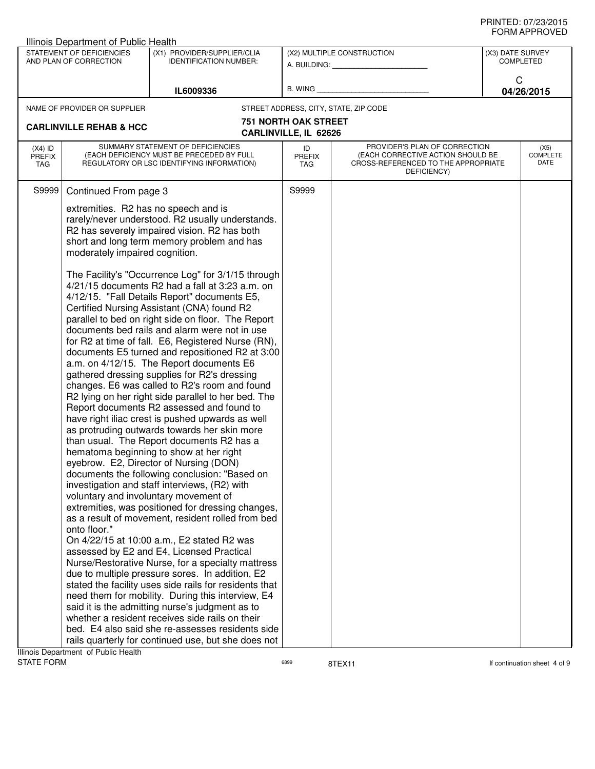| Illinois Department of Public Health |                                                                                                                                                                                                                                                                                                                                                                                                                                                                                                                                                                                                                                                                                                                                                                                                                                                                                                                                                                                        |                                                                                                                                                                                                                                                                                                                                                                                                                                                                                                                                                                                                                                                                                                                                                                                                                                                                            |                                                                                                                                                        |                                       |                                      |            |
|--------------------------------------|----------------------------------------------------------------------------------------------------------------------------------------------------------------------------------------------------------------------------------------------------------------------------------------------------------------------------------------------------------------------------------------------------------------------------------------------------------------------------------------------------------------------------------------------------------------------------------------------------------------------------------------------------------------------------------------------------------------------------------------------------------------------------------------------------------------------------------------------------------------------------------------------------------------------------------------------------------------------------------------|----------------------------------------------------------------------------------------------------------------------------------------------------------------------------------------------------------------------------------------------------------------------------------------------------------------------------------------------------------------------------------------------------------------------------------------------------------------------------------------------------------------------------------------------------------------------------------------------------------------------------------------------------------------------------------------------------------------------------------------------------------------------------------------------------------------------------------------------------------------------------|--------------------------------------------------------------------------------------------------------------------------------------------------------|---------------------------------------|--------------------------------------|------------|
|                                      | STATEMENT OF DEFICIENCIES<br>AND PLAN OF CORRECTION                                                                                                                                                                                                                                                                                                                                                                                                                                                                                                                                                                                                                                                                                                                                                                                                                                                                                                                                    | (X1) PROVIDER/SUPPLIER/CLIA<br><b>IDENTIFICATION NUMBER:</b>                                                                                                                                                                                                                                                                                                                                                                                                                                                                                                                                                                                                                                                                                                                                                                                                               |                                                                                                                                                        | (X2) MULTIPLE CONSTRUCTION            | (X3) DATE SURVEY<br><b>COMPLETED</b> |            |
|                                      |                                                                                                                                                                                                                                                                                                                                                                                                                                                                                                                                                                                                                                                                                                                                                                                                                                                                                                                                                                                        |                                                                                                                                                                                                                                                                                                                                                                                                                                                                                                                                                                                                                                                                                                                                                                                                                                                                            |                                                                                                                                                        | A. BUILDING: A. BUILDING:             |                                      |            |
|                                      |                                                                                                                                                                                                                                                                                                                                                                                                                                                                                                                                                                                                                                                                                                                                                                                                                                                                                                                                                                                        |                                                                                                                                                                                                                                                                                                                                                                                                                                                                                                                                                                                                                                                                                                                                                                                                                                                                            | <b>B. WING</b>                                                                                                                                         |                                       | C                                    |            |
|                                      |                                                                                                                                                                                                                                                                                                                                                                                                                                                                                                                                                                                                                                                                                                                                                                                                                                                                                                                                                                                        | IL6009336                                                                                                                                                                                                                                                                                                                                                                                                                                                                                                                                                                                                                                                                                                                                                                                                                                                                  |                                                                                                                                                        |                                       |                                      | 04/26/2015 |
|                                      | NAME OF PROVIDER OR SUPPLIER                                                                                                                                                                                                                                                                                                                                                                                                                                                                                                                                                                                                                                                                                                                                                                                                                                                                                                                                                           |                                                                                                                                                                                                                                                                                                                                                                                                                                                                                                                                                                                                                                                                                                                                                                                                                                                                            |                                                                                                                                                        | STREET ADDRESS, CITY, STATE, ZIP CODE |                                      |            |
|                                      | <b>CARLINVILLE REHAB &amp; HCC</b>                                                                                                                                                                                                                                                                                                                                                                                                                                                                                                                                                                                                                                                                                                                                                                                                                                                                                                                                                     |                                                                                                                                                                                                                                                                                                                                                                                                                                                                                                                                                                                                                                                                                                                                                                                                                                                                            | <b>751 NORTH OAK STREET</b><br>CARLINVILLE, IL 62626                                                                                                   |                                       |                                      |            |
| $(X4)$ ID<br><b>PREFIX</b><br>TAG    |                                                                                                                                                                                                                                                                                                                                                                                                                                                                                                                                                                                                                                                                                                                                                                                                                                                                                                                                                                                        | SUMMARY STATEMENT OF DEFICIENCIES<br>(EACH DEFICIENCY MUST BE PRECEDED BY FULL<br>REGULATORY OR LSC IDENTIFYING INFORMATION)                                                                                                                                                                                                                                                                                                                                                                                                                                                                                                                                                                                                                                                                                                                                               | PROVIDER'S PLAN OF CORRECTION<br>ID<br>(EACH CORRECTIVE ACTION SHOULD BE<br>PREFIX<br>CROSS-REFERENCED TO THE APPROPRIATE<br><b>TAG</b><br>DEFICIENCY) |                                       | (X5)<br><b>COMPLETE</b><br>DATE      |            |
| S9999                                | Continued From page 3                                                                                                                                                                                                                                                                                                                                                                                                                                                                                                                                                                                                                                                                                                                                                                                                                                                                                                                                                                  |                                                                                                                                                                                                                                                                                                                                                                                                                                                                                                                                                                                                                                                                                                                                                                                                                                                                            | S9999                                                                                                                                                  |                                       |                                      |            |
|                                      | extremities. R2 has no speech and is<br>moderately impaired cognition.                                                                                                                                                                                                                                                                                                                                                                                                                                                                                                                                                                                                                                                                                                                                                                                                                                                                                                                 | rarely/never understood. R2 usually understands.<br>R2 has severely impaired vision. R2 has both<br>short and long term memory problem and has<br>The Facility's "Occurrence Log" for 3/1/15 through<br>4/21/15 documents R2 had a fall at 3:23 a.m. on<br>4/12/15. "Fall Details Report" documents E5,<br>Certified Nursing Assistant (CNA) found R2<br>parallel to bed on right side on floor. The Report<br>documents bed rails and alarm were not in use<br>for R2 at time of fall. E6, Registered Nurse (RN),<br>documents E5 turned and repositioned R2 at 3:00<br>a.m. on 4/12/15. The Report documents E6<br>gathered dressing supplies for R2's dressing<br>changes. E6 was called to R2's room and found<br>R2 lying on her right side parallel to her bed. The<br>Report documents R2 assessed and found to<br>have right iliac crest is pushed upwards as well |                                                                                                                                                        |                                       |                                      |            |
|                                      | as protruding outwards towards her skin more<br>than usual. The Report documents R2 has a<br>hematoma beginning to show at her right<br>eyebrow. E2, Director of Nursing (DON)<br>documents the following conclusion: "Based on<br>investigation and staff interviews, (R2) with<br>voluntary and involuntary movement of<br>extremities, was positioned for dressing changes,<br>as a result of movement, resident rolled from bed<br>onto floor."<br>On 4/22/15 at 10:00 a.m., E2 stated R2 was<br>assessed by E2 and E4, Licensed Practical<br>Nurse/Restorative Nurse, for a specialty mattress<br>due to multiple pressure sores. In addition, E2<br>stated the facility uses side rails for residents that<br>need them for mobility. During this interview, E4<br>said it is the admitting nurse's judgment as to<br>whether a resident receives side rails on their<br>bed. E4 also said she re-assesses residents side<br>rails quarterly for continued use, but she does not |                                                                                                                                                                                                                                                                                                                                                                                                                                                                                                                                                                                                                                                                                                                                                                                                                                                                            |                                                                                                                                                        |                                       |                                      |            |

Illinois Department of Public Health<br>STATE FORM

assets a set of the STEX11 and STEX11 and STEX11 and STEX11 and STEX11 and STEX11 and STEX11 and STEX11 and STEX11 and STEX11 and STEX11 and STEX11 and STEX11 and STEX11 and STEX11 and STEX11 and STEX11 and STEX11 and STEX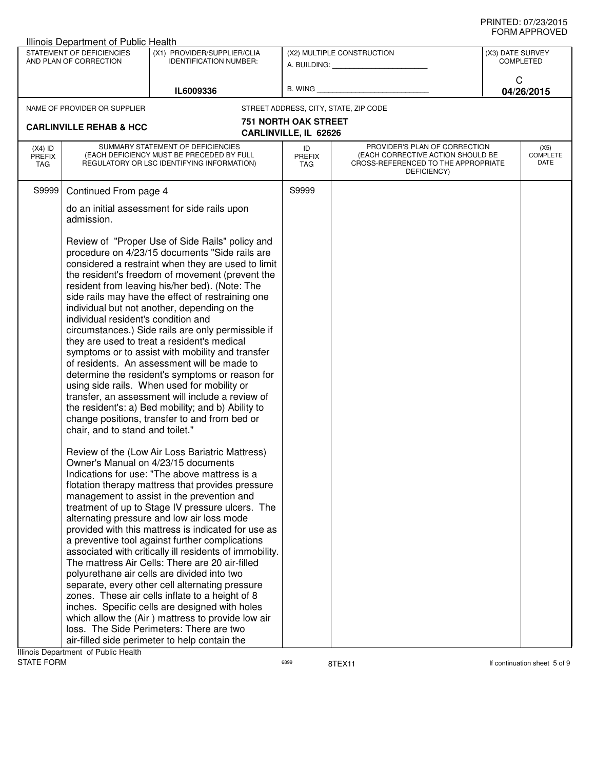|                                                                                           | Illinois Department of Public Health                                                                                                                                                                                                                                                                                                                                                                                                                                                                                                                                                                                                                                                                                                                                                                                                                                                                                                                                                                                                                                                                                                                                                                                                                                                                                                                                                                                                                                                                                                                                                                                                                                                                                                                                                                                                                                                                                                                                         |                                                              |                                                      |                                                                                                                          |                                                         |                                 |
|-------------------------------------------------------------------------------------------|------------------------------------------------------------------------------------------------------------------------------------------------------------------------------------------------------------------------------------------------------------------------------------------------------------------------------------------------------------------------------------------------------------------------------------------------------------------------------------------------------------------------------------------------------------------------------------------------------------------------------------------------------------------------------------------------------------------------------------------------------------------------------------------------------------------------------------------------------------------------------------------------------------------------------------------------------------------------------------------------------------------------------------------------------------------------------------------------------------------------------------------------------------------------------------------------------------------------------------------------------------------------------------------------------------------------------------------------------------------------------------------------------------------------------------------------------------------------------------------------------------------------------------------------------------------------------------------------------------------------------------------------------------------------------------------------------------------------------------------------------------------------------------------------------------------------------------------------------------------------------------------------------------------------------------------------------------------------------|--------------------------------------------------------------|------------------------------------------------------|--------------------------------------------------------------------------------------------------------------------------|---------------------------------------------------------|---------------------------------|
|                                                                                           | STATEMENT OF DEFICIENCIES<br>AND PLAN OF CORRECTION                                                                                                                                                                                                                                                                                                                                                                                                                                                                                                                                                                                                                                                                                                                                                                                                                                                                                                                                                                                                                                                                                                                                                                                                                                                                                                                                                                                                                                                                                                                                                                                                                                                                                                                                                                                                                                                                                                                          | (X1) PROVIDER/SUPPLIER/CLIA<br><b>IDENTIFICATION NUMBER:</b> |                                                      | (X2) MULTIPLE CONSTRUCTION<br>A. BUILDING: A. BUILDING:                                                                  | (X3) DATE SURVEY<br><b>COMPLETED</b><br>C<br>04/26/2015 |                                 |
|                                                                                           |                                                                                                                                                                                                                                                                                                                                                                                                                                                                                                                                                                                                                                                                                                                                                                                                                                                                                                                                                                                                                                                                                                                                                                                                                                                                                                                                                                                                                                                                                                                                                                                                                                                                                                                                                                                                                                                                                                                                                                              | IL6009336                                                    | B. WING                                              |                                                                                                                          |                                                         |                                 |
|                                                                                           | NAME OF PROVIDER OR SUPPLIER                                                                                                                                                                                                                                                                                                                                                                                                                                                                                                                                                                                                                                                                                                                                                                                                                                                                                                                                                                                                                                                                                                                                                                                                                                                                                                                                                                                                                                                                                                                                                                                                                                                                                                                                                                                                                                                                                                                                                 |                                                              |                                                      | STREET ADDRESS, CITY, STATE, ZIP CODE                                                                                    |                                                         |                                 |
|                                                                                           | <b>CARLINVILLE REHAB &amp; HCC</b>                                                                                                                                                                                                                                                                                                                                                                                                                                                                                                                                                                                                                                                                                                                                                                                                                                                                                                                                                                                                                                                                                                                                                                                                                                                                                                                                                                                                                                                                                                                                                                                                                                                                                                                                                                                                                                                                                                                                           |                                                              | <b>751 NORTH OAK STREET</b><br>CARLINVILLE, IL 62626 |                                                                                                                          |                                                         |                                 |
| $(X4)$ ID<br><b>PREFIX</b><br>TAG                                                         |                                                                                                                                                                                                                                                                                                                                                                                                                                                                                                                                                                                                                                                                                                                                                                                                                                                                                                                                                                                                                                                                                                                                                                                                                                                                                                                                                                                                                                                                                                                                                                                                                                                                                                                                                                                                                                                                                                                                                                              |                                                              | ID<br><b>PREFIX</b><br><b>TAG</b>                    | PROVIDER'S PLAN OF CORRECTION<br>(EACH CORRECTIVE ACTION SHOULD BE<br>CROSS-REFERENCED TO THE APPROPRIATE<br>DEFICIENCY) |                                                         | (X5)<br><b>COMPLETE</b><br>DATE |
| S9999                                                                                     |                                                                                                                                                                                                                                                                                                                                                                                                                                                                                                                                                                                                                                                                                                                                                                                                                                                                                                                                                                                                                                                                                                                                                                                                                                                                                                                                                                                                                                                                                                                                                                                                                                                                                                                                                                                                                                                                                                                                                                              |                                                              | S9999                                                |                                                                                                                          |                                                         |                                 |
|                                                                                           |                                                                                                                                                                                                                                                                                                                                                                                                                                                                                                                                                                                                                                                                                                                                                                                                                                                                                                                                                                                                                                                                                                                                                                                                                                                                                                                                                                                                                                                                                                                                                                                                                                                                                                                                                                                                                                                                                                                                                                              |                                                              |                                                      |                                                                                                                          |                                                         |                                 |
| loss. The Side Perimeters: There are two<br>air-filled side perimeter to help contain the | SUMMARY STATEMENT OF DEFICIENCIES<br>(EACH DEFICIENCY MUST BE PRECEDED BY FULL<br>REGULATORY OR LSC IDENTIFYING INFORMATION)<br>Continued From page 4<br>do an initial assessment for side rails upon<br>admission.<br>Review of "Proper Use of Side Rails" policy and<br>procedure on 4/23/15 documents "Side rails are<br>considered a restraint when they are used to limit<br>the resident's freedom of movement (prevent the<br>resident from leaving his/her bed). (Note: The<br>side rails may have the effect of restraining one<br>individual but not another, depending on the<br>individual resident's condition and<br>circumstances.) Side rails are only permissible if<br>they are used to treat a resident's medical<br>symptoms or to assist with mobility and transfer<br>of residents. An assessment will be made to<br>determine the resident's symptoms or reason for<br>using side rails. When used for mobility or<br>transfer, an assessment will include a review of<br>the resident's: a) Bed mobility; and b) Ability to<br>change positions, transfer to and from bed or<br>chair, and to stand and toilet."<br>Review of the (Low Air Loss Bariatric Mattress)<br>Owner's Manual on 4/23/15 documents<br>Indications for use: "The above mattress is a<br>flotation therapy mattress that provides pressure<br>management to assist in the prevention and<br>treatment of up to Stage IV pressure ulcers. The<br>alternating pressure and low air loss mode<br>provided with this mattress is indicated for use as<br>a preventive tool against further complications<br>associated with critically ill residents of immobility.<br>The mattress Air Cells: There are 20 air-filled<br>polyurethane air cells are divided into two<br>separate, every other cell alternating pressure<br>zones. These air cells inflate to a height of 8<br>inches. Specific cells are designed with holes<br>which allow the (Air) mattress to provide low air |                                                              |                                                      |                                                                                                                          |                                                         |                                 |

assets a continuation sheet 5 of 9 and 8TEX11 and 8TEX11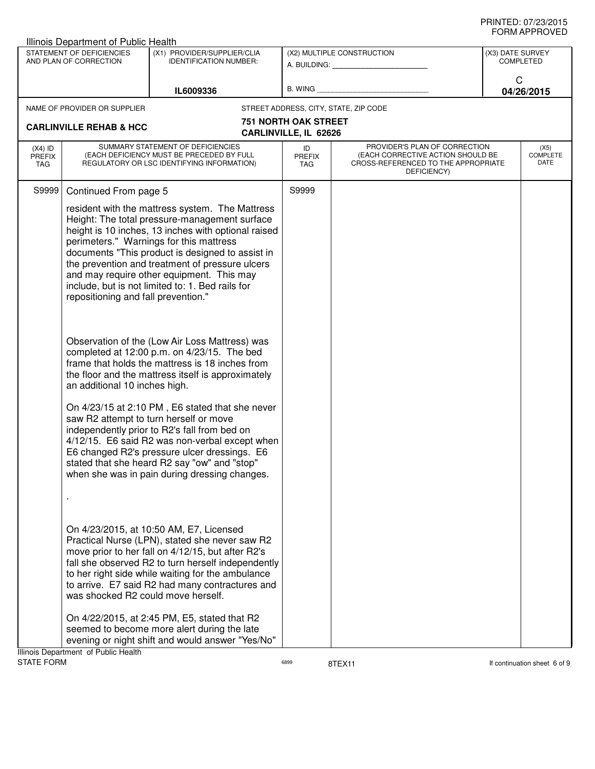|                                   | <b>Illinois Department of Public Health</b>                                |                                                                                                                                                                                                                                                                                                                                                                                                                                                                 |                                                      |                                                                                                                          |                               |                                 |  |
|-----------------------------------|----------------------------------------------------------------------------|-----------------------------------------------------------------------------------------------------------------------------------------------------------------------------------------------------------------------------------------------------------------------------------------------------------------------------------------------------------------------------------------------------------------------------------------------------------------|------------------------------------------------------|--------------------------------------------------------------------------------------------------------------------------|-------------------------------|---------------------------------|--|
|                                   | STATEMENT OF DEFICIENCIES<br>AND PLAN OF CORRECTION                        | (X1) PROVIDER/SUPPLIER/CLIA<br><b>IDENTIFICATION NUMBER:</b>                                                                                                                                                                                                                                                                                                                                                                                                    |                                                      | (X2) MULTIPLE CONSTRUCTION<br>A. BUILDING: A. BUILDING:                                                                  | (X3) DATE SURVEY<br>COMPLETED |                                 |  |
|                                   |                                                                            | IL6009336                                                                                                                                                                                                                                                                                                                                                                                                                                                       | B. WING                                              |                                                                                                                          | C                             | 04/26/2015                      |  |
|                                   | NAME OF PROVIDER OR SUPPLIER                                               |                                                                                                                                                                                                                                                                                                                                                                                                                                                                 |                                                      | STREET ADDRESS, CITY, STATE, ZIP CODE                                                                                    |                               |                                 |  |
|                                   | <b>CARLINVILLE REHAB &amp; HCC</b>                                         |                                                                                                                                                                                                                                                                                                                                                                                                                                                                 | <b>751 NORTH OAK STREET</b><br>CARLINVILLE, IL 62626 |                                                                                                                          |                               |                                 |  |
| $(X4)$ ID<br><b>PREFIX</b><br>TAG |                                                                            | SUMMARY STATEMENT OF DEFICIENCIES<br>(EACH DEFICIENCY MUST BE PRECEDED BY FULL<br>REGULATORY OR LSC IDENTIFYING INFORMATION)                                                                                                                                                                                                                                                                                                                                    | ID<br><b>PREFIX</b><br>TAG                           | PROVIDER'S PLAN OF CORRECTION<br>(EACH CORRECTIVE ACTION SHOULD BE<br>CROSS-REFERENCED TO THE APPROPRIATE<br>DEFICIENCY) |                               | (X5)<br><b>COMPLETE</b><br>DATE |  |
| S9999                             | Continued From page 5                                                      |                                                                                                                                                                                                                                                                                                                                                                                                                                                                 | S9999                                                |                                                                                                                          |                               |                                 |  |
|                                   | repositioning and fall prevention."                                        | resident with the mattress system. The Mattress<br>Height: The total pressure-management surface<br>height is 10 inches, 13 inches with optional raised<br>perimeters." Warnings for this mattress<br>documents "This product is designed to assist in<br>the prevention and treatment of pressure ulcers<br>and may require other equipment. This may<br>include, but is not limited to: 1. Bed rails for                                                      |                                                      |                                                                                                                          |                               |                                 |  |
|                                   | an additional 10 inches high.                                              | Observation of the (Low Air Loss Mattress) was<br>completed at 12:00 p.m. on 4/23/15. The bed<br>frame that holds the mattress is 18 inches from<br>the floor and the mattress itself is approximately                                                                                                                                                                                                                                                          |                                                      |                                                                                                                          |                               |                                 |  |
|                                   |                                                                            | On 4/23/15 at 2:10 PM, E6 stated that she never<br>saw R2 attempt to turn herself or move<br>independently prior to R2's fall from bed on<br>4/12/15. E6 said R2 was non-verbal except when<br>E6 changed R2's pressure ulcer dressings. E6<br>stated that she heard R2 say "ow" and "stop"<br>when she was in pain during dressing changes.                                                                                                                    |                                                      |                                                                                                                          |                               |                                 |  |
|                                   | was shocked R2 could move herself.<br>Illinois Department of Public Health | On 4/23/2015, at 10:50 AM, E7, Licensed<br>Practical Nurse (LPN), stated she never saw R2<br>move prior to her fall on 4/12/15, but after R2's<br>fall she observed R2 to turn herself independently<br>to her right side while waiting for the ambulance<br>to arrive. E7 said R2 had many contractures and<br>On 4/22/2015, at 2:45 PM, E5, stated that R2<br>seemed to become more alert during the late<br>evening or night shift and would answer "Yes/No" |                                                      |                                                                                                                          |                               |                                 |  |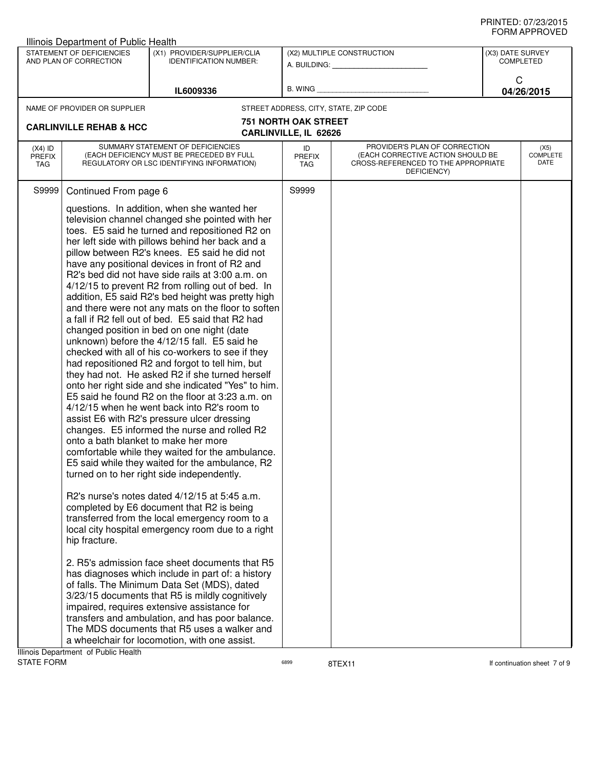| Illinois Department of Public Health |                                                     |                                                                                                                                                                                                                                                                                                                                                                                                                                                                                                                                                                                                                                                                                |                                                      |                                                                                                                          |                                      | שם עשורו ותואויט         |
|--------------------------------------|-----------------------------------------------------|--------------------------------------------------------------------------------------------------------------------------------------------------------------------------------------------------------------------------------------------------------------------------------------------------------------------------------------------------------------------------------------------------------------------------------------------------------------------------------------------------------------------------------------------------------------------------------------------------------------------------------------------------------------------------------|------------------------------------------------------|--------------------------------------------------------------------------------------------------------------------------|--------------------------------------|--------------------------|
|                                      | STATEMENT OF DEFICIENCIES<br>AND PLAN OF CORRECTION | (X1) PROVIDER/SUPPLIER/CLIA<br><b>IDENTIFICATION NUMBER:</b>                                                                                                                                                                                                                                                                                                                                                                                                                                                                                                                                                                                                                   |                                                      | (X2) MULTIPLE CONSTRUCTION<br>A. BUILDING: A. BUILDING:                                                                  | (X3) DATE SURVEY<br><b>COMPLETED</b> |                          |
|                                      |                                                     | IL6009336                                                                                                                                                                                                                                                                                                                                                                                                                                                                                                                                                                                                                                                                      |                                                      | B. WING <b>Example 20</b>                                                                                                | C                                    | 04/26/2015               |
|                                      | NAME OF PROVIDER OR SUPPLIER                        |                                                                                                                                                                                                                                                                                                                                                                                                                                                                                                                                                                                                                                                                                |                                                      | STREET ADDRESS, CITY, STATE, ZIP CODE                                                                                    |                                      |                          |
|                                      | <b>CARLINVILLE REHAB &amp; HCC</b>                  |                                                                                                                                                                                                                                                                                                                                                                                                                                                                                                                                                                                                                                                                                | <b>751 NORTH OAK STREET</b><br>CARLINVILLE, IL 62626 |                                                                                                                          |                                      |                          |
| $(X4)$ ID<br><b>PREFIX</b><br>TAG    |                                                     | SUMMARY STATEMENT OF DEFICIENCIES<br>(EACH DEFICIENCY MUST BE PRECEDED BY FULL<br>REGULATORY OR LSC IDENTIFYING INFORMATION)                                                                                                                                                                                                                                                                                                                                                                                                                                                                                                                                                   | ID<br><b>PREFIX</b><br>TAG                           | PROVIDER'S PLAN OF CORRECTION<br>(EACH CORRECTIVE ACTION SHOULD BE<br>CROSS-REFERENCED TO THE APPROPRIATE<br>DEFICIENCY) |                                      | (X5)<br>COMPLETE<br>DATE |
|                                      |                                                     | questions. In addition, when she wanted her<br>television channel changed she pointed with her<br>toes. E5 said he turned and repositioned R2 on<br>her left side with pillows behind her back and a<br>pillow between R2's knees. E5 said he did not<br>have any positional devices in front of R2 and<br>R2's bed did not have side rails at 3:00 a.m. on<br>4/12/15 to prevent R2 from rolling out of bed. In<br>addition, E5 said R2's bed height was pretty high<br>and there were not any mats on the floor to soften<br>a fall if R2 fell out of bed. E5 said that R2 had<br>changed position in bed on one night (date<br>unknown) before the 4/12/15 fall. E5 said he |                                                      |                                                                                                                          |                                      |                          |
|                                      | onto a bath blanket to make her more                | checked with all of his co-workers to see if they<br>had repositioned R2 and forgot to tell him, but<br>they had not. He asked R2 if she turned herself<br>onto her right side and she indicated "Yes" to him.<br>E5 said he found R2 on the floor at 3:23 a.m. on<br>4/12/15 when he went back into R2's room to<br>assist E6 with R2's pressure ulcer dressing<br>changes. E5 informed the nurse and rolled R2<br>comfortable while they waited for the ambulance.<br>E5 said while they waited for the ambulance, R2<br>turned on to her right side independently.                                                                                                          |                                                      |                                                                                                                          |                                      |                          |
|                                      | hip fracture.                                       | R2's nurse's notes dated 4/12/15 at 5:45 a.m.<br>completed by E6 document that R2 is being<br>transferred from the local emergency room to a<br>local city hospital emergency room due to a right                                                                                                                                                                                                                                                                                                                                                                                                                                                                              |                                                      |                                                                                                                          |                                      |                          |
|                                      |                                                     | 2. R5's admission face sheet documents that R5<br>has diagnoses which include in part of: a history<br>of falls. The Minimum Data Set (MDS), dated<br>3/23/15 documents that R5 is mildly cognitively<br>impaired, requires extensive assistance for<br>transfers and ambulation, and has poor balance.<br>The MDS documents that R5 uses a walker and<br>a wheelchair for locomotion, with one assist.                                                                                                                                                                                                                                                                        |                                                      |                                                                                                                          |                                      |                          |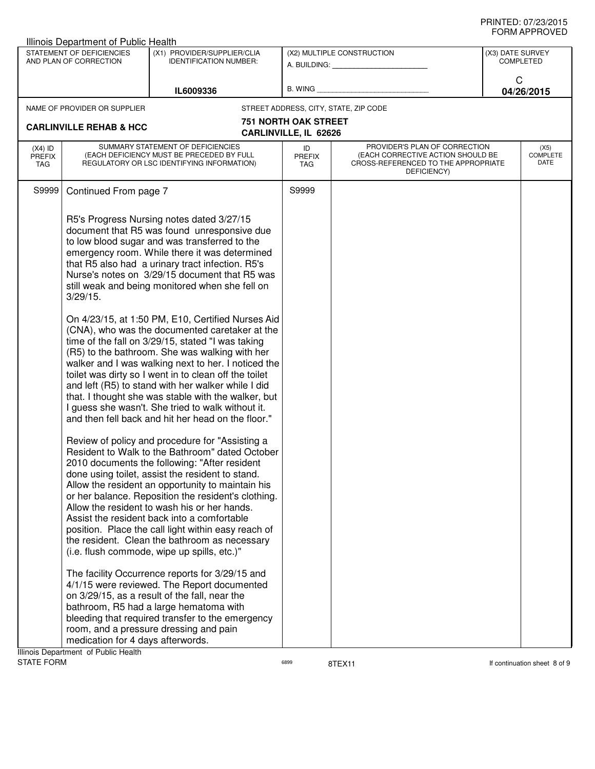|                                   | Illinois Department of Public Health                                                    |                                                                                                                                                                                                                                                                                                                                                                                                                                                                                                                                                                                                                                                                                                                                                                                                                                                                                                                                                                                                                                                                                                                                                                                                                                                                                                                                                                                                                                                                                                                                                                                                                                                                                                                                                                                  |                                                      |                                                                                                                          |                                      | ᅴᄖᄞᇊᆝᆝᇅ៴ᄂ                |
|-----------------------------------|-----------------------------------------------------------------------------------------|----------------------------------------------------------------------------------------------------------------------------------------------------------------------------------------------------------------------------------------------------------------------------------------------------------------------------------------------------------------------------------------------------------------------------------------------------------------------------------------------------------------------------------------------------------------------------------------------------------------------------------------------------------------------------------------------------------------------------------------------------------------------------------------------------------------------------------------------------------------------------------------------------------------------------------------------------------------------------------------------------------------------------------------------------------------------------------------------------------------------------------------------------------------------------------------------------------------------------------------------------------------------------------------------------------------------------------------------------------------------------------------------------------------------------------------------------------------------------------------------------------------------------------------------------------------------------------------------------------------------------------------------------------------------------------------------------------------------------------------------------------------------------------|------------------------------------------------------|--------------------------------------------------------------------------------------------------------------------------|--------------------------------------|--------------------------|
|                                   | STATEMENT OF DEFICIENCIES<br>AND PLAN OF CORRECTION                                     | (X1) PROVIDER/SUPPLIER/CLIA<br><b>IDENTIFICATION NUMBER:</b>                                                                                                                                                                                                                                                                                                                                                                                                                                                                                                                                                                                                                                                                                                                                                                                                                                                                                                                                                                                                                                                                                                                                                                                                                                                                                                                                                                                                                                                                                                                                                                                                                                                                                                                     |                                                      | (X2) MULTIPLE CONSTRUCTION<br>A. BUILDING: A. BUILDING:                                                                  | (X3) DATE SURVEY<br><b>COMPLETED</b> |                          |
|                                   |                                                                                         | IL6009336                                                                                                                                                                                                                                                                                                                                                                                                                                                                                                                                                                                                                                                                                                                                                                                                                                                                                                                                                                                                                                                                                                                                                                                                                                                                                                                                                                                                                                                                                                                                                                                                                                                                                                                                                                        |                                                      | B. WING <b>Example 2008</b>                                                                                              | C                                    | 04/26/2015               |
|                                   | NAME OF PROVIDER OR SUPPLIER                                                            |                                                                                                                                                                                                                                                                                                                                                                                                                                                                                                                                                                                                                                                                                                                                                                                                                                                                                                                                                                                                                                                                                                                                                                                                                                                                                                                                                                                                                                                                                                                                                                                                                                                                                                                                                                                  |                                                      | STREET ADDRESS, CITY, STATE, ZIP CODE                                                                                    |                                      |                          |
|                                   | <b>CARLINVILLE REHAB &amp; HCC</b>                                                      |                                                                                                                                                                                                                                                                                                                                                                                                                                                                                                                                                                                                                                                                                                                                                                                                                                                                                                                                                                                                                                                                                                                                                                                                                                                                                                                                                                                                                                                                                                                                                                                                                                                                                                                                                                                  | <b>751 NORTH OAK STREET</b><br>CARLINVILLE, IL 62626 |                                                                                                                          |                                      |                          |
| $(X4)$ ID<br><b>PREFIX</b><br>TAG |                                                                                         | SUMMARY STATEMENT OF DEFICIENCIES<br>(EACH DEFICIENCY MUST BE PRECEDED BY FULL<br>REGULATORY OR LSC IDENTIFYING INFORMATION)                                                                                                                                                                                                                                                                                                                                                                                                                                                                                                                                                                                                                                                                                                                                                                                                                                                                                                                                                                                                                                                                                                                                                                                                                                                                                                                                                                                                                                                                                                                                                                                                                                                     | ID<br><b>PREFIX</b><br>TAG                           | PROVIDER'S PLAN OF CORRECTION<br>(EACH CORRECTIVE ACTION SHOULD BE<br>CROSS-REFERENCED TO THE APPROPRIATE<br>DEFICIENCY) |                                      | (X5)<br>COMPLETE<br>DATE |
| S9999                             | Continued From page 7                                                                   |                                                                                                                                                                                                                                                                                                                                                                                                                                                                                                                                                                                                                                                                                                                                                                                                                                                                                                                                                                                                                                                                                                                                                                                                                                                                                                                                                                                                                                                                                                                                                                                                                                                                                                                                                                                  | S9999                                                |                                                                                                                          |                                      |                          |
|                                   | $3/29/15$ .<br>medication for 4 days afterwords.<br>Ilinois Department of Public Hoolth | R5's Progress Nursing notes dated 3/27/15<br>document that R5 was found unresponsive due<br>to low blood sugar and was transferred to the<br>emergency room. While there it was determined<br>that R5 also had a urinary tract infection. R5's<br>Nurse's notes on 3/29/15 document that R5 was<br>still weak and being monitored when she fell on<br>On 4/23/15, at 1:50 PM, E10, Certified Nurses Aid<br>(CNA), who was the documented caretaker at the<br>time of the fall on 3/29/15, stated "I was taking<br>(R5) to the bathroom. She was walking with her<br>walker and I was walking next to her. I noticed the<br>toilet was dirty so I went in to clean off the toilet<br>and left (R5) to stand with her walker while I did<br>that. I thought she was stable with the walker, but<br>I guess she wasn't. She tried to walk without it.<br>and then fell back and hit her head on the floor."<br>Review of policy and procedure for "Assisting a<br>Resident to Walk to the Bathroom" dated October<br>2010 documents the following: "After resident<br>done using toilet, assist the resident to stand.<br>Allow the resident an opportunity to maintain his<br>or her balance. Reposition the resident's clothing.<br>Allow the resident to wash his or her hands.<br>Assist the resident back into a comfortable<br>position. Place the call light within easy reach of<br>the resident. Clean the bathroom as necessary<br>(i.e. flush commode, wipe up spills, etc.)"<br>The facility Occurrence reports for 3/29/15 and<br>4/1/15 were reviewed. The Report documented<br>on 3/29/15, as a result of the fall, near the<br>bathroom, R5 had a large hematoma with<br>bleeding that required transfer to the emergency<br>room, and a pressure dressing and pain |                                                      |                                                                                                                          |                                      |                          |